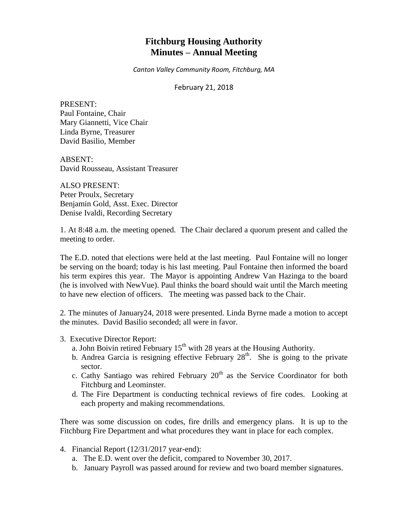# **Fitchburg Housing Authority Minutes – Annual Meeting**

*Canton Valley Community Room, Fitchburg, MA*

February 21, 2018

PRESENT: Paul Fontaine, Chair Mary Giannetti, Vice Chair Linda Byrne, Treasurer David Basilio, Member

ABSENT: David Rousseau, Assistant Treasurer

ALSO PRESENT: Peter Proulx, Secretary Benjamin Gold, Asst. Exec. Director Denise Ivaldi, Recording Secretary

1. At 8:48 a.m. the meeting opened. The Chair declared a quorum present and called the meeting to order.

The E.D. noted that elections were held at the last meeting. Paul Fontaine will no longer be serving on the board; today is his last meeting. Paul Fontaine then informed the board his term expires this year. The Mayor is appointing Andrew Van Hazinga to the board (he is involved with NewVue). Paul thinks the board should wait until the March meeting to have new election of officers. The meeting was passed back to the Chair.

2. The minutes of January24, 2018 were presented. Linda Byrne made a motion to accept the minutes. David Basilio seconded; all were in favor.

- 3. Executive Director Report:
	- a. John Boivin retired February  $15<sup>th</sup>$  with 28 years at the Housing Authority.
	- b. Andrea Garcia is resigning effective February  $28<sup>th</sup>$ . She is going to the private sector.
	- c. Cathy Santiago was rehired February  $20<sup>th</sup>$  as the Service Coordinator for both Fitchburg and Leominster.
	- d. The Fire Department is conducting technical reviews of fire codes. Looking at each property and making recommendations.

There was some discussion on codes, fire drills and emergency plans. It is up to the Fitchburg Fire Department and what procedures they want in place for each complex.

- 4. Financial Report (12/31/2017 year-end):
	- a. The E.D. went over the deficit, compared to November 30, 2017.
	- b. January Payroll was passed around for review and two board member signatures.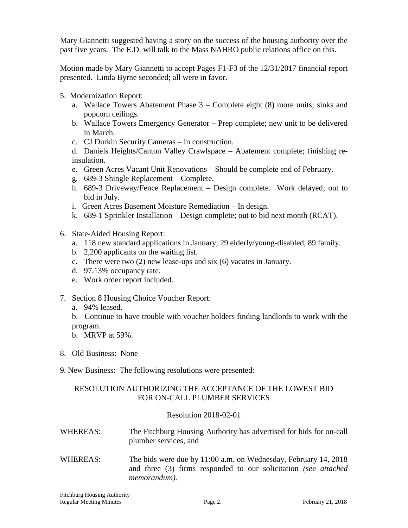Mary Giannetti suggested having a story on the success of the housing authority over the past five years. The E.D. will talk to the Mass NAHRO public relations office on this.

Motion made by Mary Giannetti to accept Pages F1-F3 of the 12/31/2017 financial report presented. Linda Byrne seconded; all were in favor.

- 5. Modernization Report:
	- a. Wallace Towers Abatement Phase 3 Complete eight (8) more units; sinks and popcorn ceilings.
	- b. Wallace Towers Emergency Generator Prep complete; new unit to be delivered in March.
	- c. CJ Durkin Security Cameras In construction.
	- d. Daniels Heights/Canton Valley Crawlspace Abatement complete; finishing reinsulation.
	- e. Green Acres Vacant Unit Renovations Should be complete end of February.
	- g. 689-3 Shingle Replacement Complete.
	- h. 689-3 Driveway/Fence Replacement Design complete. Work delayed; out to bid in July.
	- i. Green Acres Basement Moisture Remediation In design.
	- k. 689-1 Sprinkler Installation Design complete; out to bid next month (RCAT).
- 6. State-Aided Housing Report:
	- a. 118 new standard applications in January; 29 elderly/young-disabled, 89 family.
	- b. 2,200 applicants on the waiting list.
	- c. There were two (2) new lease-ups and six (6) vacates in January.
	- d. 97.13% occupancy rate.
	- e. Work order report included.
- 7. Section 8 Housing Choice Voucher Report:
	- a. 94% leased.
	- b. Continue to have trouble with voucher holders finding landlords to work with the program.
	- b. MRVP at 59%.
- 8. Old Business: None
- 9. New Business: The following resolutions were presented:

# RESOLUTION AUTHORIZING THE ACCEPTANCE OF THE LOWEST BID FOR ON-CALL PLUMBER SERVICES

# Resolution 2018-02-01

- WHEREAS: The Fitchburg Housing Authority has advertised for bids for on-call plumber services, and
- WHEREAS: The bids were due by 11:00 a.m. on Wednesday, February 14, 2018 and three (3) firms responded to our solicitation *(see attached memorandum).*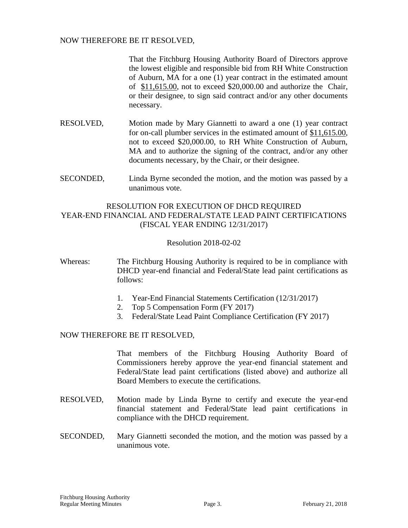## NOW THEREFORE BE IT RESOLVED,

That the Fitchburg Housing Authority Board of Directors approve the lowest eligible and responsible bid from RH White Construction of Auburn, MA for a one (1) year contract in the estimated amount of \$11,615.00, not to exceed \$20,000.00 and authorize the Chair, or their designee, to sign said contract and/or any other documents necessary.

- RESOLVED, Motion made by Mary Giannetti to award a one (1) year contract for on-call plumber services in the estimated amount of \$11,615.00, not to exceed \$20,000.00, to RH White Construction of Auburn, MA and to authorize the signing of the contract, and/or any other documents necessary, by the Chair, or their designee.
- SECONDED, Linda Byrne seconded the motion, and the motion was passed by a unanimous vote.

## RESOLUTION FOR EXECUTION OF DHCD REQUIRED YEAR-END FINANCIAL AND FEDERAL/STATE LEAD PAINT CERTIFICATIONS (FISCAL YEAR ENDING 12/31/2017)

#### Resolution 2018-02-02

Whereas: The Fitchburg Housing Authority is required to be in compliance with DHCD year-end financial and Federal/State lead paint certifications as follows:

- 1. Year-End Financial Statements Certification (12/31/2017)
- 2. Top 5 Compensation Form (FY 2017)
- 3. Federal/State Lead Paint Compliance Certification (FY 2017)

## NOW THEREFORE BE IT RESOLVED,

That members of the Fitchburg Housing Authority Board of Commissioners hereby approve the year-end financial statement and Federal/State lead paint certifications (listed above) and authorize all Board Members to execute the certifications.

- RESOLVED, Motion made by Linda Byrne to certify and execute the year-end financial statement and Federal/State lead paint certifications in compliance with the DHCD requirement.
- SECONDED, Mary Giannetti seconded the motion, and the motion was passed by a unanimous vote.